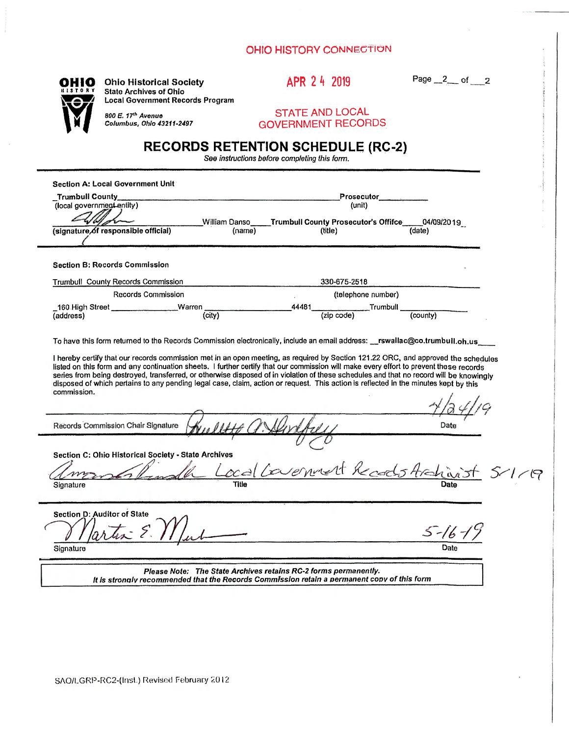## **OHIO HISTORY CONNECTION**



OHIO **Ohio Historical Society u 13 T OR***i* **state Archives of Ohio Local Government Records Program**  APR 2 h 2019

Page  $2$  of 2

STATE AND LOCAL GOVERNMENT RECORDS

## **RECORDS RETENTION SCHEDULE (RC-2)**

See *instructions before completing this form.* 

| <b>Section A: Local Government Unit</b><br><b>Trumbull County</b><br>(local government entity)<br>William Danso<br>(signature of responsible official)<br>(name) | Prosecutor<br>(unit)<br>Trumbull County Prosecutor's Offifce____04/09/2019<br>(date)<br>(title)                                                                                                                                                                                                                                                                                                                                                                                                                                                                                                                                                                                                        |
|------------------------------------------------------------------------------------------------------------------------------------------------------------------|--------------------------------------------------------------------------------------------------------------------------------------------------------------------------------------------------------------------------------------------------------------------------------------------------------------------------------------------------------------------------------------------------------------------------------------------------------------------------------------------------------------------------------------------------------------------------------------------------------------------------------------------------------------------------------------------------------|
| <b>Section B: Records Commission</b>                                                                                                                             |                                                                                                                                                                                                                                                                                                                                                                                                                                                                                                                                                                                                                                                                                                        |
| Trumbull County Records Commission                                                                                                                               | 330-675-2518                                                                                                                                                                                                                                                                                                                                                                                                                                                                                                                                                                                                                                                                                           |
| <b>Records Commission</b>                                                                                                                                        | (telephone number)                                                                                                                                                                                                                                                                                                                                                                                                                                                                                                                                                                                                                                                                                     |
| Warren<br>_160 High Street __<br>(city)<br>(address)                                                                                                             | 44481<br><b>Trumbull</b><br>$\overline{(countv)}$<br>(zip code)                                                                                                                                                                                                                                                                                                                                                                                                                                                                                                                                                                                                                                        |
| commission.<br>Records Commission Chair Signature                                                                                                                | To have this form returned to the Records Commission electronically, include an email address: __rswallac@co.trumbull.oh.us<br>I hereby certify that our records commission met in an open meeting, as required by Section 121.22 ORC, and approved the schedules<br>listed on this form and any continuation sheets. I further certify that our commission will make every effort to prevent these records<br>series from being destroyed, transferred, or otherwise disposed of in violation of these schedules and that no record will be knowingly<br>disposed of which pertains to any pending legal case, claim, action or request. This action is reflected in the minutes kept by this<br>Date |
| Section C: Ohio Historical Society - State Archives<br>Signature                                                                                                 | Local Comment Records Archivist                                                                                                                                                                                                                                                                                                                                                                                                                                                                                                                                                                                                                                                                        |
| Section D: Auditor of State<br>57.5<br>Signature                                                                                                                 | $5 - 16 - 1$                                                                                                                                                                                                                                                                                                                                                                                                                                                                                                                                                                                                                                                                                           |
|                                                                                                                                                                  | Please Note: The State Archives retains RC-2 forms permanently.<br>It is strongly recommended that the Records Commission retain a permanent copy of this form                                                                                                                                                                                                                                                                                                                                                                                                                                                                                                                                         |